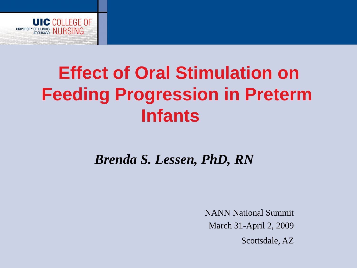

# **Effect of Oral Stimulation on Feeding Progression in Preterm Infants**

#### *Brenda S. Lessen, PhD, RN*

NANN National Summit March 31-April 2, 2009

Scottsdale, AZ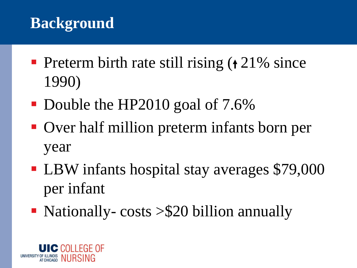## **Background**

- **Preterm birth rate still rising**  $(21\% \text{ since }$ 1990)
- Double the HP2010 goal of 7.6%
- Over half million preterm infants born per year
- LBW infants hospital stay averages \$79,000 per infant
- Nationally-costs  $> $20$  billion annually

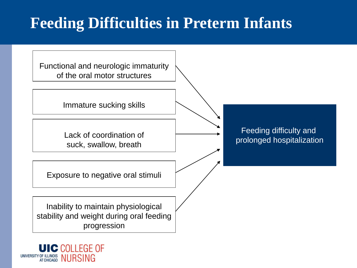### **Feeding Difficulties in Preterm Infants**



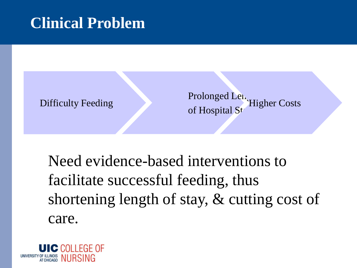#### **Clinical Problem**



Prolonged Length of Hospital St Higher Costs

Need evidence-based interventions to facilitate successful feeding, thus shortening length of stay, & cutting cost of care.

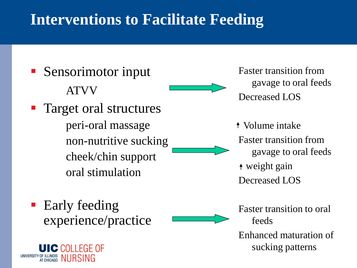#### **Interventions to Facilitate Feeding**

■ Sensorimotor input ATVV Target oral structures peri-oral massage non-nutritive sucking cheek/chin support oral stimulation

Early feeding experience/practice

**UIC COLLEGE OF** 

UNIVERSITY OF ILLINOIS NURSING

Faster transition from gavage to oral feeds Decreased LOS

Volume intake Faster transition from gavage to oral feeds weight gain Decreased LOS

Faster transition to oral feeds

Enhanced maturation of sucking patterns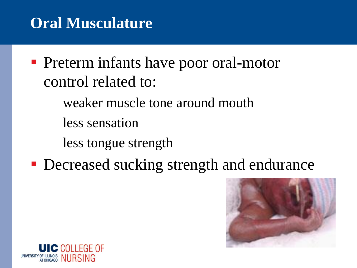### **Oral Musculature**

- **Preterm infants have poor oral-motor** control related to:
	- weaker muscle tone around mouth
	- less sensation
	- less tongue strength
- **Decreased sucking strength and endurance**



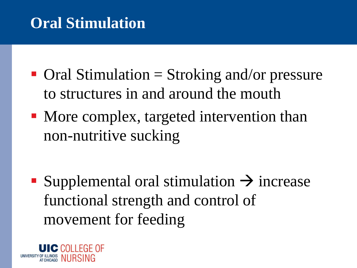## **Oral Stimulation**

- $\blacksquare$  Oral Stimulation  $\blacksquare$  Stroking and/or pressure to structures in and around the mouth
- More complex, targeted intervention than non-nutritive sucking

■ Supplemental oral stimulation  $\rightarrow$  increase functional strength and control of movement for feeding

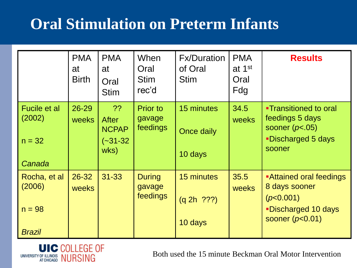## **Oral Stimulation on Preterm Infants**

|                                                     | <b>PMA</b><br>at<br><b>Birth</b> | <b>PMA</b><br>at<br>Oral<br><b>Stim</b>                  | When<br>Oral<br><b>Stim</b><br>rec'd  | <b>Fx/Duration</b><br>of Oral<br><b>Stim</b> | <b>PMA</b><br>at 1 <sup>st</sup><br>Oral<br>Fdg | <b>Results</b>                                                                                             |
|-----------------------------------------------------|----------------------------------|----------------------------------------------------------|---------------------------------------|----------------------------------------------|-------------------------------------------------|------------------------------------------------------------------------------------------------------------|
| Fucile et al<br>(2002)<br>$n = 32$<br>Canada        | 26-29<br>weeks                   | ??<br><b>After</b><br><b>NCPAP</b><br>$(-31-32)$<br>wks) | <b>Prior to</b><br>gavage<br>feedings | 15 minutes<br>Once daily<br>10 days          | 34.5<br>weeks                                   | <b>-Transitioned to oral</b><br>feedings 5 days<br>sooner $(p<.05)$<br><b>-Discharged 5 days</b><br>sooner |
| Rocha, et al<br>(2006)<br>$n = 98$<br><b>Brazil</b> | 26-32<br>weeks                   | $31 - 33$                                                | <b>During</b><br>gavage<br>feedings   | 15 minutes<br>(q 2h  ???)<br>10 days         | 35.5<br><b>weeks</b>                            | Attained oral feedings<br>8 days sooner<br>(p<0.001)<br><b>-Discharged 10 days</b><br>sooner $(p<0.01)$    |



Both used the 15 minute Beckman Oral Motor Intervention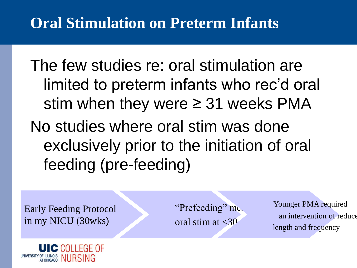## **Oral Stimulation on Preterm Infants**

The few studies re: oral stimulation are limited to preterm infants who rec'd oral stim when they were  $\geq$  31 weeks PMA No studies where oral stim was done exclusively prior to the initiation of oral feeding (pre-feeding)

Early Feeding Protocol in my NICU (30wks)

"Prefeeding"  $mc$ . oral stim at  $\langle 30 \rangle$ 

Younger PMA required an intervention of reduce length and frequency

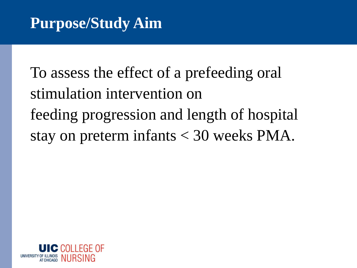To assess the effect of a prefeeding oral stimulation intervention on feeding progression and length of hospital stay on preterm infants < 30 weeks PMA.

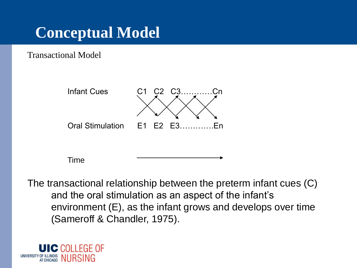## **Conceptual Model**

Transactional Model



Time

The transactional relationship between the preterm infant cues (C) and the oral stimulation as an aspect of the infant's environment (E), as the infant grows and develops over time (Sameroff & Chandler, 1975).

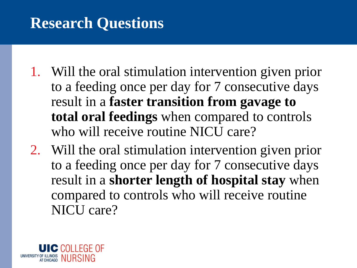#### **Research Questions**

- 1. Will the oral stimulation intervention given prior to a feeding once per day for 7 consecutive days result in a **faster transition from gavage to total oral feedings** when compared to controls who will receive routine NICU care?
- 2. Will the oral stimulation intervention given prior to a feeding once per day for 7 consecutive days result in a **shorter length of hospital stay** when compared to controls who will receive routine NICU care?

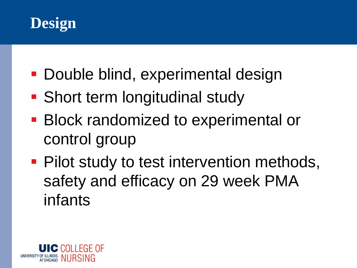

- **Double blind, experimental design**
- Short term longitudinal study
- **Block randomized to experimental or** control group
- **Pilot study to test intervention methods,** safety and efficacy on 29 week PMA infants

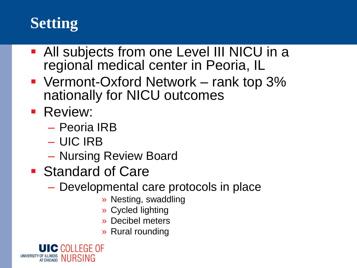## **Setting**

- All subjects from one Level III NICU in a regional medical center in Peoria, IL
- Vermont-Oxford Network rank top 3% nationally for NICU outcomes
- **Review:** 
	- Peoria IRB
	- UIC IRB
	- Nursing Review Board
- Standard of Care
	- Developmental care protocols in place
		- » Nesting, swaddling
		- » Cycled lighting
		- » Decibel meters
		- » Rural rounding

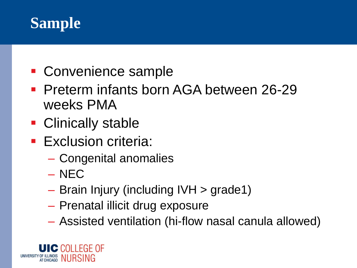#### **Sample**

- Convenience sample
- Preterm infants born AGA between 26-29 weeks PMA
- Clinically stable
- **Exclusion criteria:** 
	- Congenital anomalies
	- NEC
	- Brain Injury (including IVH > grade1)
	- Prenatal illicit drug exposure
	- Assisted ventilation (hi-flow nasal canula allowed)

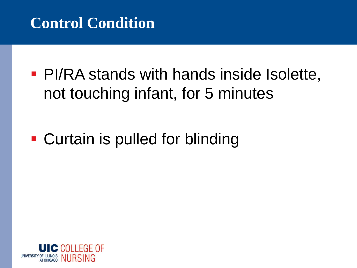#### **Control Condition**

**• PI/RA stands with hands inside Isolette,** not touching infant, for 5 minutes

# ■ Curtain is pulled for blinding

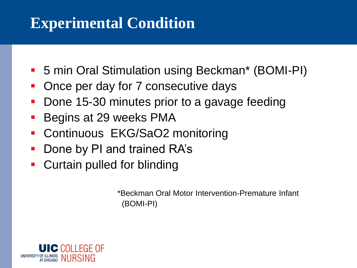#### **Experimental Condition**

- 5 min Oral Stimulation using Beckman\* (BOMI-PI)
- Once per day for 7 consecutive days
- Done 15-30 minutes prior to a gavage feeding
- **Begins at 29 weeks PMA**
- Continuous EKG/SaO2 monitoring
- Done by PI and trained RA's
- Curtain pulled for blinding

\*Beckman Oral Motor Intervention-Premature Infant (BOMI-PI)

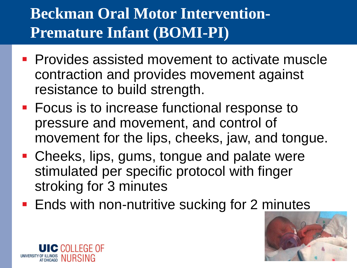# **Beckman Oral Motor Intervention-Premature Infant (BOMI-PI)**

- **Provides assisted movement to activate muscle** contraction and provides movement against resistance to build strength.
- Focus is to increase functional response to pressure and movement, and control of movement for the lips, cheeks, jaw, and tongue.
- Cheeks, lips, gums, tongue and palate were stimulated per specific protocol with finger stroking for 3 minutes
- **Ends with non-nutritive sucking for 2 minutes**



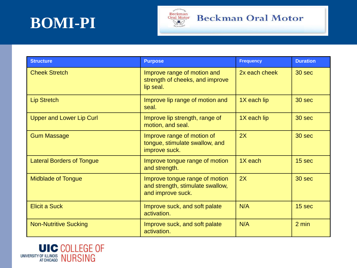



#### **Structure Purpose Frequency Duration** Cheek Stretch **Improve range of motion and** strength of cheeks, and improve lip seal. 2x each cheek  $\vert$  30 sec Lip Stretch **Improve lip range of motion and** seal.  $1X$  each lip  $\vert$  30 sec Upper and Lower Lip Curl Improve lip strength, range of motion, and seal.  $1X$  each lip  $\vert$  30 sec Gum Massage **Improve range of motion of** tongue, stimulate swallow, and improve suck.  $2X$   $\qquad$   $\qquad$  30 sec Lateral Borders of Tongue Improve tongue range of motion and strength.  $1X$  each  $15$  sec Midblade of Tongue Improve tongue range of motion and strength, stimulate swallow, and improve suck.  $2X$  30 sec Elicit a Suck Improve suck, and soft palate activation.  $N/A$  15 sec Non-Nutritive Sucking Improve suck, and soft palate activation.  $N/A$  2 min

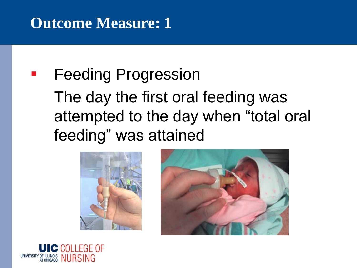### **Outcome Measure: 1**

# **Feeding Progression** The day the first oral feeding was attempted to the day when "total oral feeding" was attained





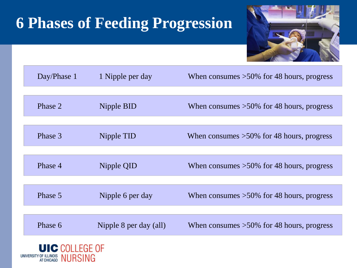## **6 Phases of Feeding Progression**



| Day/Phase 1 | 1 Nipple per day       | When consumes $>50\%$ for 48 hours, progress |
|-------------|------------------------|----------------------------------------------|
|             |                        |                                              |
| Phase 2     | Nipple BID             | When consumes $>50\%$ for 48 hours, progress |
|             |                        |                                              |
| Phase 3     | Nipple TID             | When consumes $>50\%$ for 48 hours, progress |
|             |                        |                                              |
| Phase 4     | Nipple QID             | When consumes $>50\%$ for 48 hours, progress |
|             |                        |                                              |
| Phase 5     | Nipple 6 per day       | When consumes $>50\%$ for 48 hours, progress |
|             |                        |                                              |
| Phase 6     | Nipple 8 per day (all) | When consumes $>50\%$ for 48 hours, progress |
|             |                        |                                              |

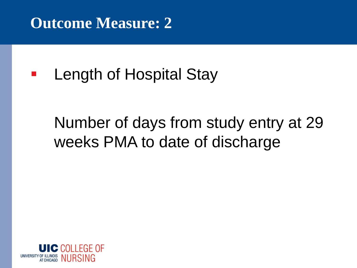#### **Outcome Measure: 2**

**Length of Hospital Stay** 

# Number of days from study entry at 29 weeks PMA to date of discharge

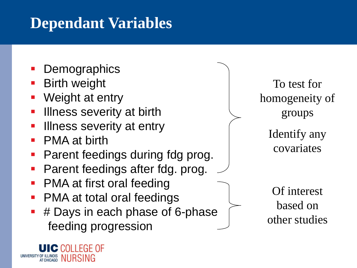### **Dependant Variables**

- **Demographics**
- **Birth weight**
- Weight at entry
- Illness severity at birth
- Illness severity at entry
- **PMA at birth**

**UIC COLLEGE OF** 

UNIVERSITY OF ILLINOIS NURSING

- Parent feedings during fdg prog.
- Parent feedings after fdg. prog.
- **PMA at first oral feeding**
- **PMA at total oral feedings**
- # Days in each phase of 6-phase feeding progression

To test for homogeneity of groups

> Identify any covariates

Of interest based on other studies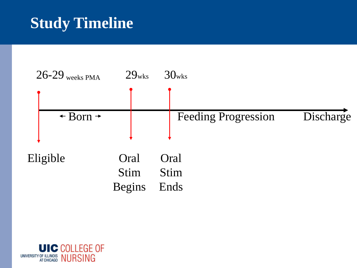#### **Study Timeline**



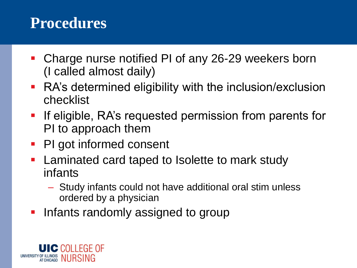#### **Procedures**

- Charge nurse notified PI of any 26-29 weekers born (I called almost daily)
- RA's determined eligibility with the inclusion/exclusion checklist
- **•** If eligible, RA's requested permission from parents for PI to approach them
- PI got informed consent
- Laminated card taped to Isolette to mark study infants
	- Study infants could not have additional oral stim unless ordered by a physician
- **Infants randomly assigned to group**

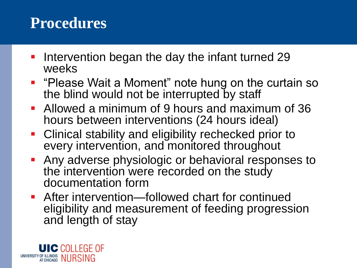#### **Procedures**

- Intervention began the day the infant turned 29 weeks
- "Please Wait a Moment" note hung on the curtain so the blind would not be interrupted by staff
- **E** Allowed a minimum of 9 hours and maximum of 36 hours between interventions (24 hours ideal)
- Clinical stability and eligibility rechecked prior to every intervention, and monitored throughout
- Any adverse physiologic or behavioral responses to the intervention were recorded on the study documentation form
- **EXTED After intervention—followed chart for continued** eligibility and measurement of feeding progression and length of stay

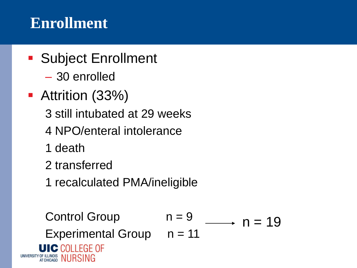#### **Enrollment**

- Subject Enrollment
	- 30 enrolled
- **E** Attrition (33%)
	- 3 still intubated at 29 weeks
	- 4 NPO/enteral intolerance
	- 1 death
	- 2 transferred
	- 1 recalculated PMA/ineligible

Control Group

\n
$$
n = 9
$$

\nExperimental Group

\n $n = 11$ 

\n**UIC COLLEGE OF**

\nUNIVERSTIT V OF ILLINOIS

\nIVIT CCHICAGG

\nNURSING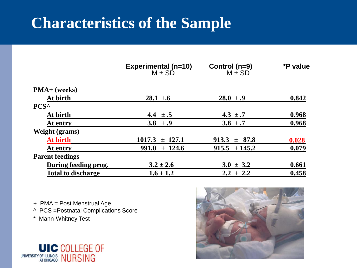#### **Characteristics of the Sample**

|                           | Experimental (n=10)<br>M $\pm$ SD | Control (n=9)<br>$M \pm SD$ | *P value |
|---------------------------|-----------------------------------|-----------------------------|----------|
| $PMA+$ (weeks)            |                                   |                             |          |
| At birth                  | $28.1 \pm 6$                      | $28.0 \pm .9$               | 0.842    |
| PCS <sup>^</sup>          |                                   |                             |          |
| At birth                  | 4.4 $\pm .5$                      | $4.3 \pm .7$                | 0.968    |
| At entry                  | 3.8 $\pm .9$                      | $3.8 \pm .7$                | 0.968    |
| <b>Weight (grams)</b>     |                                   |                             |          |
| At birth                  | 1017.3<br>± 127.1                 | $913.3 \pm 87.8$            | 0.028    |
| At entry                  | 991.0<br>± 124.6                  | $915.5 \pm 145.2$           | 0.079    |
| <b>Parent feedings</b>    |                                   |                             |          |
| During feeding prog.      | $3.2 \pm 2.6$                     | $3.0 \pm 3.2$               | 0.661    |
| <b>Total to discharge</b> | $1.6 \pm 1.2$                     | $2.2 \pm 2.2$               | 0.458    |

+ PMA = Post Menstrual Age

^ PCS =Postnatal Complications Score

\* Mann-Whitney Test



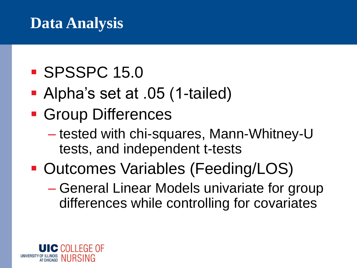#### **Data Analysis**

# ■ SPSSPC 15.0

- Alpha's set at .05 (1-tailed)
- **Group Differences** 
	- tested with chi-squares, Mann-Whitney-U tests, and independent t-tests
- Outcomes Variables (Feeding/LOS)
	- General Linear Models univariate for group differences while controlling for covariates

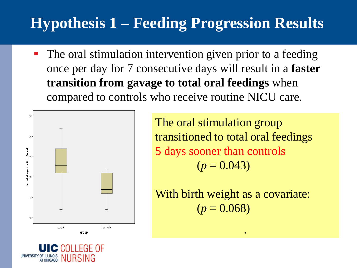# **Hypothesis 1 – Feeding Progression Results**

■ The oral stimulation intervention given prior to a feeding once per day for 7 consecutive days will result in a **faster transition from gavage to total oral feedings** when compared to controls who receive routine NICU care.





With birth weight as a covariate:  $(p = 0.068)$ 

.

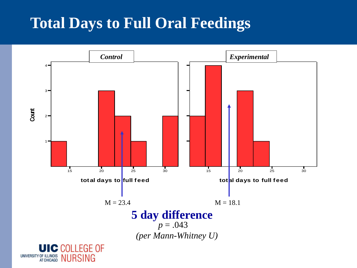## **Total Days to Full Oral Feedings**

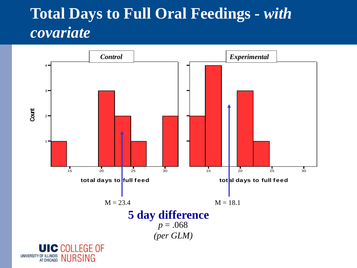#### **Total Days to Full Oral Feedings -** *with covariate*

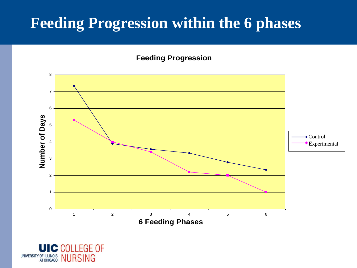#### **Feeding Progression within the 6 phases**

#### **Feeding Progression**



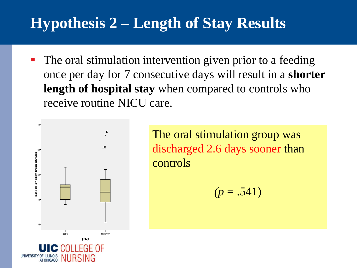## **Hypothesis 2 – Length of Stay Results**

■ The oral stimulation intervention given prior to a feeding once per day for 7 consecutive days will result in a **shorter length of hospital stay** when compared to controls who receive routine NICU care.



The oral stimulation group was discharged 2.6 days sooner than controls

 $(p = .541)$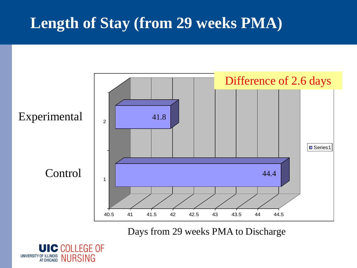### **Length of Stay (from 29 weeks PMA)**



Days from 29 weeks PMA to Discharge

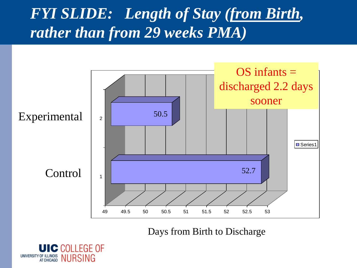#### *FYI SLIDE: Length of Stay (from Birth, rather than from 29 weeks PMA)*



Days from Birth to Discharge

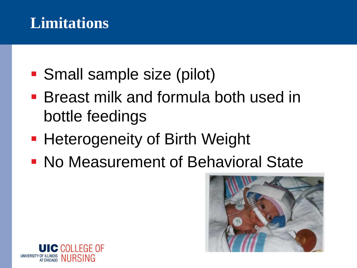#### **Limitations**

- Small sample size (pilot)
- Breast milk and formula both used in bottle feedings
- **Heterogeneity of Birth Weight**
- **No Measurement of Behavioral State**



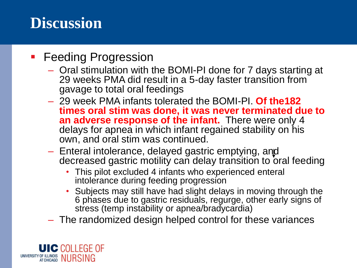#### **• Feeding Progression**

- Oral stimulation with the BOMI-PI done for 7 days starting at 29 weeks PMA did result in a 5-day faster transition from gavage to total oral feedings
- 29 week PMA infants tolerated the BOMI-PI. **Of the182 times oral stim was done, it was never terminated due to an adverse response of the infant.** There were only 4 delays for apnea in which infant regained stability on his own, and oral stim was continued.
- Enteral intolerance, delayed gastric emptying, and decreased gastric motility can delay transition to oral feeding
	- This pilot excluded 4 infants who experienced enteral intolerance during feeding progression
	- Subjects may still have had slight delays in moving through the 6 phases due to gastric residuals, regurge, other early signs of stress (temp instability or apnea/bradycardia)
- The randomized design helped control for these variances

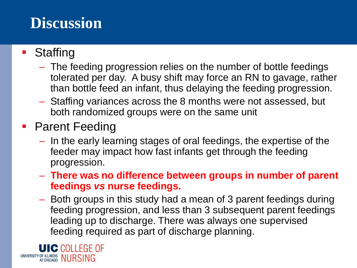- Staffing
	- The feeding progression relies on the number of bottle feedings tolerated per day. A busy shift may force an RN to gavage, rather than bottle feed an infant, thus delaying the feeding progression.
	- Staffing variances across the 8 months were not assessed, but both randomized groups were on the same unit
- Parent Feeding
	- In the early learning stages of oral feedings, the expertise of the feeder may impact how fast infants get through the feeding progression.
	- **There was no difference between groups in number of parent feedings** *vs* **nurse feedings.**
	- Both groups in this study had a mean of 3 parent feedings during feeding progression, and less than 3 subsequent parent feedings leading up to discharge. There was always one supervised feeding required as part of discharge planning.

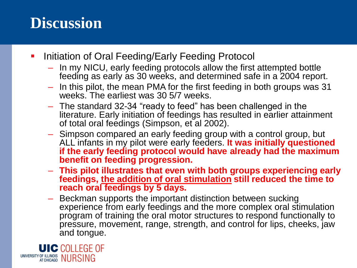- **Initiation of Oral Feeding/Early Feeding Protocol** 
	- In my NICU, early feeding protocols allow the first attempted bottle feeding as early as 30 weeks, and determined safe in a 2004 report.
	- In this pilot, the mean PMA for the first feeding in both groups was 31 weeks. The earliest was 30 5/7 weeks.
	- The standard 32-34 "ready to feed" has been challenged in the literature. Early initiation of feedings has resulted in earlier attainment of total oral feedings (Simpson, et al 2002).
	- Simpson compared an early feeding group with a control group, but ALL infants in my pilot were early feeders. **It was initially questioned if the early feeding protocol would have already had the maximum benefit on feeding progression.**
	- **This pilot illustrates that even with both groups experiencing early feedings, the addition of oral stimulation still reduced the time to reach oral feedings by 5 days.**
	- Beckman supports the important distinction between sucking experience from early feedings and the more complex oral stimulation program of training the oral motor structures to respond functionally to pressure, movement, range, strength, and control for lips, cheeks, jaw and tongue.

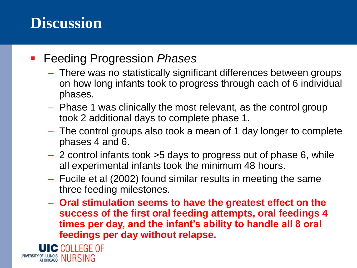#### ▪ Feeding Progression *Phases*

- There was no statistically significant differences between groups on how long infants took to progress through each of 6 individual phases.
- Phase 1 was clinically the most relevant, as the control group took 2 additional days to complete phase 1.
- The control groups also took a mean of 1 day longer to complete phases 4 and 6.
- 2 control infants took >5 days to progress out of phase 6, while all experimental infants took the minimum 48 hours.
- Fucile et al (2002) found similar results in meeting the same three feeding milestones.
- **Oral stimulation seems to have the greatest effect on the success of the first oral feeding attempts, oral feedings 4 times per day, and the infant's ability to handle all 8 oral feedings per day without relapse.**

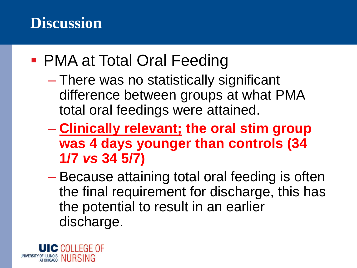- PMA at Total Oral Feeding
	- There was no statistically significant difference between groups at what PMA total oral feedings were attained.
	- **Clinically relevant; the oral stim group was 4 days younger than controls (34 1/7** *vs* **34 5/7)**
	- Because attaining total oral feeding is often the final requirement for discharge, this has the potential to result in an earlier discharge.

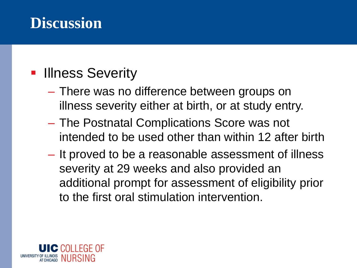#### **• Illness Severity**

- There was no difference between groups on illness severity either at birth, or at study entry.
- The Postnatal Complications Score was not intended to be used other than within 12 after birth
- It proved to be a reasonable assessment of illness severity at 29 weeks and also provided an additional prompt for assessment of eligibility prior to the first oral stimulation intervention.

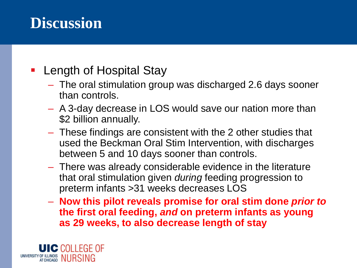#### ■ Length of Hospital Stay

- The oral stimulation group was discharged 2.6 days sooner than controls.
- A 3-day decrease in LOS would save our nation more than \$2 billion annually.
- These findings are consistent with the 2 other studies that used the Beckman Oral Stim Intervention, with discharges between 5 and 10 days sooner than controls.
- There was already considerable evidence in the literature that oral stimulation given *during* feeding progression to preterm infants >31 weeks decreases LOS
- **Now this pilot reveals promise for oral stim done** *prior to* **the first oral feeding,** *and* **on preterm infants as young as 29 weeks, to also decrease length of stay**

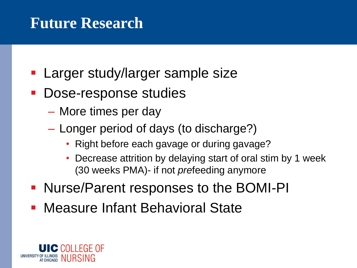#### **Future Research**

- Larger study/larger sample size
- Dose-response studies
	- More times per day
	- Longer period of days (to discharge?)
		- Right before each gavage or during gavage?
		- Decrease attrition by delaying start of oral stim by 1 week (30 weeks PMA)- if not *pre*feeding anymore
- Nurse/Parent responses to the BOMI-PI
- **Measure Infant Behavioral State**